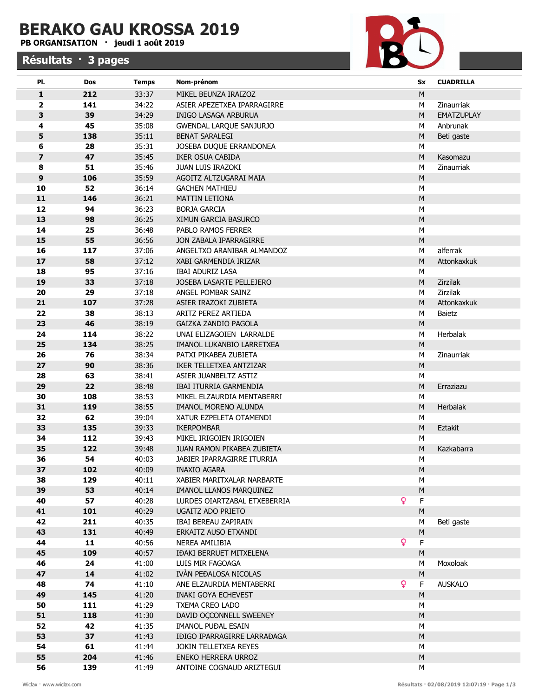## BERAKO GAU KROSSA 2019

## PB ORGANISATION · jeudi 1 août 2019

## Résultats · 3 pages



| PI.                     | Dos        | <b>Temps</b>   | Nom-prénom                                            |                | Sx             | <b>CUADRILLA</b>  |
|-------------------------|------------|----------------|-------------------------------------------------------|----------------|----------------|-------------------|
| $\mathbf{1}$            | 212        | 33:37          | MIKEL BEUNZA IRAIZOZ                                  |                | ${\sf M}$      |                   |
| $\overline{\mathbf{2}}$ | 141        | 34:22          | ASIER APEZETXEA IPARRAGIRRE                           |                | M              | Zinaurriak        |
| 3                       | 39         | 34:29          | <b>INIGO LASAGA ARBURUA</b>                           |                | ${\sf M}$      | <b>EMATZUPLAY</b> |
| 4                       | 45         | 35:08          | <b>GWENDAL LARQUE SANJURJO</b>                        |                | М              | Anbrunak          |
| 5                       | 138        | 35:11          | <b>BENAT SARALEGI</b>                                 |                | M              | Beti gaste        |
| 6                       | 28         | 35:31          | JOSEBA DUQUE ERRANDONEA                               |                | М              |                   |
| $\overline{\mathbf{z}}$ | 47         | 35:45          | IKER OSUA CABIDA                                      |                | ${\sf M}$      | Kasomazu          |
| 8                       | 51         | 35:46          | JUAN LUIS IRAZOKI                                     |                | М              | Zinaurriak        |
| $\boldsymbol{9}$        | 106        | 35:59          | AGOITZ ALTZUGARAI MAIA                                |                | ${\sf M}$      |                   |
| 10                      | 52         | 36:14          | <b>GACHEN MATHIEU</b>                                 |                | М              |                   |
| 11                      | 146        | 36:21          | <b>MATTIN LETIONA</b>                                 |                | ${\sf M}$      |                   |
| 12                      | 94         | 36:23          | <b>BORJA GARCIA</b>                                   |                | M              |                   |
| 13                      | 98         | 36:25          | XIMUN GARCIA BASURCO                                  |                | ${\sf M}$      |                   |
| 14                      | 25         | 36:48          | PABLO RAMOS FERRER                                    |                | M              |                   |
| 15                      | 55         | 36:56          | JON ZABALA IPARRAGIRRE                                |                | ${\sf M}$      |                   |
| 16                      | 117        | 37:06          | ANGELTXO ARANIBAR ALMANDOZ                            |                | М              | alferrak          |
| 17                      | 58         | 37:12          | XABI GARMENDIA IRIZAR                                 |                | ${\sf M}$      | Attonkaxkuk       |
| 18                      | 95         | 37:16          | <b>IBAI ADURIZ LASA</b>                               |                | м              |                   |
| 19                      | 33         | 37:18          | JOSEBA LASARTE PELLEJERO                              |                | ${\sf M}$      | Zirzilak          |
| 20                      | 29         | 37:18          | ANGEL POMBAR SAINZ                                    |                | м              | Zirzilak          |
| 21                      | 107        | 37:28          | ASIER IRAZOKI ZUBIETA                                 |                | ${\sf M}$      | Attonkaxkuk       |
| 22                      | 38         | 38:13          | ARITZ PEREZ ARTIEDA                                   |                | M              | Baietz            |
| 23                      | 46         | 38:19          | GAIZKA ZANDIO PAGOLA                                  |                | ${\sf M}$      |                   |
| 24                      | 114        | 38:22          | UNAI ELIZAGOIEN LARRALDE                              |                | М              | Herbalak          |
| 25                      | 134        | 38:25          | IMANOL LUKANBIO LARRETXEA                             |                | ${\sf M}$      |                   |
| 26                      | 76         | 38:34          | PATXI PIKABEA ZUBIETA                                 |                | М              | Zinaurriak        |
| 27                      | 90         | 38:36          | IKER TELLETXEA ANTZIZAR                               |                | M              |                   |
| 28                      | 63         | 38:41          | ASIER JUANBELTZ ASTIZ                                 |                | М              |                   |
| 29                      | 22         | 38:48          | IBAI ITURRIA GARMENDIA                                |                | M              | Erraziazu         |
| 30                      | 108        | 38:53          | MIKEL ELZAURDIA MENTABERRI                            |                | M              |                   |
| 31                      | 119        | 38:55          | IMANOL MORENO ALUNDA                                  |                | ${\sf M}$      | Herbalak          |
| 32                      | 62         | 39:04          | XATUR EZPELETA OTAMENDI                               |                | M              |                   |
| 33                      | 135        | 39:33          | <b>IKERPOMBAR</b>                                     |                | M              | Eztakit           |
| 34<br>35                | 112<br>122 | 39:43          | MIKEL IRIGOIEN IRIGOIEN<br>JUAN RAMON PIKABEA ZUBIETA |                | М<br>M         | Kazkabarra        |
| 36                      | 54         | 39:48<br>40:03 | JABIER IPARRAGIRRE ITURRIA                            |                |                |                   |
| 37                      | 102        | 40:09          | INAXIO AGARA                                          |                | М<br>${\sf M}$ |                   |
| 38                      | 129        | 40:11          | XABIER MARITXALAR NARBARTE                            |                | М              |                   |
| 39                      | 53         | 40:14          | IMANOL LLANOS MARQUINEZ                               |                | ${\sf M}$      |                   |
| 40                      | 57         | 40:28          | LURDES OIARTZABAL ETXEBERRIA                          | $\overline{Q}$ | F              |                   |
| 41                      | 101        | 40:29          | <b>UGAITZ ADO PRIETO</b>                              |                | M              |                   |
| 42                      | 211        | 40:35          | IBAI BEREAU ZAPIRAIN                                  |                | М              | Beti gaste        |
| 43                      | 131        | 40:49          | ERKAITZ AUSO ETXANDI                                  |                | M              |                   |
| 44                      | 11         | 40:56          | NEREA AMILIBIA                                        | $\overline{Q}$ | F              |                   |
| 45                      | 109        | 40:57          | <b>IĐAKI BERRUET MITXELENA</b>                        |                | M              |                   |
| 46                      | 24         | 41:00          | LUIS MIR FAGOAGA                                      |                | М              | Moxoloak          |
| 47                      | 14         | 41:02          | IVÀN PEĐALOSA NICOLAS                                 |                | ${\sf M}$      |                   |
| 48                      | 74         | 41:10          | ANE ELZAURDIA MENTABERRI                              | $\overline{Q}$ | F              | <b>AUSKALO</b>    |
| 49                      | 145        | 41:20          | <b>INAKI GOYA ECHEVEST</b>                            |                | ${\sf M}$      |                   |
| 50                      | 111        | 41:29          | TXEMA CREO LADO                                       |                | M              |                   |
| 51                      | 118        | 41:30          | DAVID OCCONNELL SWEENEY                               |                | $\sf M$        |                   |
| 52                      | 42         | 41:35          | IMANOL PUĐAL ESAIN                                    |                | M              |                   |
| 53                      | 37         | 41:43          | IĐIGO IPARRAGIRRE LARRAĐAGA                           |                | ${\sf M}$      |                   |
| 54                      | 61         | 41:44          | JOKIN TELLETXEA REYES                                 |                | M              |                   |
| 55                      | 204        | 41:46          | ENEKO HERRERA URROZ                                   |                | M              |                   |
| 56                      | 139        | 41:49          | ANTOINE COGNAUD ARIZTEGUI                             |                | М              |                   |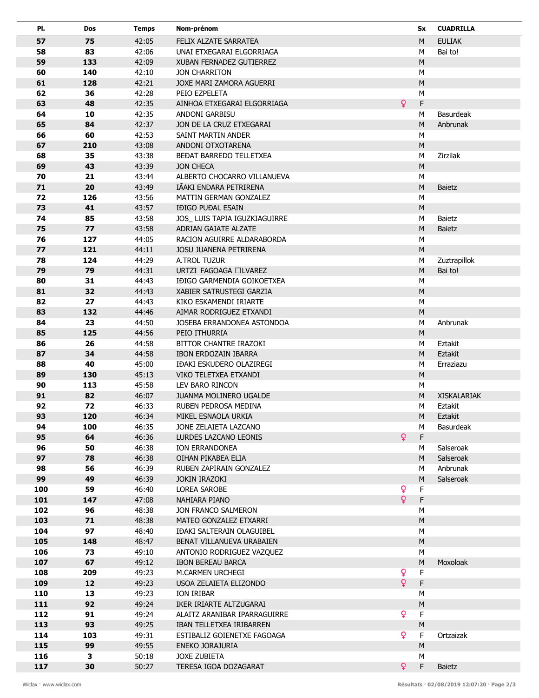| Pl. | Dos | Temps | Nom-prénom                    |              | Sx          | <b>CUADRILLA</b>   |
|-----|-----|-------|-------------------------------|--------------|-------------|--------------------|
| 57  | 75  | 42:05 | FELIX ALZATE SARRATEA         |              | M           | <b>EULIAK</b>      |
| 58  | 83  | 42:06 | UNAI ETXEGARAI ELGORRIAGA     |              | М           | Bai to!            |
| 59  | 133 | 42:09 | XUBAN FERNADEZ GUTIERREZ      |              | ${\sf M}$   |                    |
| 60  | 140 | 42:10 | JON CHARRITON                 |              | M           |                    |
| 61  | 128 | 42:21 | JOXE MARI ZAMORA AGUERRI      |              | ${\sf M}$   |                    |
| 62  | 36  | 42:28 | PEIO EZPELETA                 |              | M           |                    |
| 63  | 48  | 42:35 | AINHOA ETXEGARAI ELGORRIAGA   | ò            | F           |                    |
| 64  | 10  | 42:35 | ANDONI GARBISU                |              | М           | <b>Basurdeak</b>   |
| 65  | 84  | 42:37 | JON DE LA CRUZ ETXEGARAI      |              | ${\sf M}$   | Anbrunak           |
| 66  | 60  | 42:53 | SAINT MARTIN ANDER            |              | M           |                    |
| 67  | 210 | 43:08 | ANDONI OTXOTARENA             |              | ${\sf M}$   |                    |
| 68  | 35  | 43:38 | BEĐAT BARREDO TELLETXEA       |              | M           | Zirzilak           |
| 69  | 43  | 43:39 | <b>JON CHECA</b>              |              | ${\sf M}$   |                    |
| 70  | 21  | 43:44 | ALBERTO CHOCARRO VILLANUEVA   |              | M           |                    |
| 71  | 20  | 43:49 | IÃAKI ENDARA PETRIRENA        |              | ${\sf M}$   | Baietz             |
| 72  | 126 | 43:56 | MATTIN GERMAN GONZALEZ        |              | М           |                    |
| 73  | 41  | 43:57 | <b>IĐIGO PUĐAL ESAIN</b>      |              | ${\sf M}$   |                    |
| 74  | 85  | 43:58 | JOS_ LUIS TAPIA IGUZKIAGUIRRE |              | М           | <b>Baietz</b>      |
| 75  | 77  | 43:58 | ADRIAN GAJATE ALZATE          |              | ${\sf M}$   | <b>Baietz</b>      |
| 76  | 127 | 44:05 | RACION AGUIRRE ALDARABORDA    |              | M           |                    |
| 77  | 121 | 44:11 | JOSU JUANENA PETRIRENA        |              | ${\sf M}$   |                    |
| 78  | 124 | 44:29 | A.TROL TUZUR                  |              | M           | Zuztrapillok       |
| 79  | 79  | 44:31 | URTZI FAGOAGA □LVAREZ         |              | ${\sf M}$   | Bai to!            |
| 80  | 31  | 44:43 | IĐIGO GARMENDIA GOIKOETXEA    |              | ${\sf M}$   |                    |
| 81  | 32  | 44:43 | XABIER SATRUSTEGI GARZIA      |              | ${\sf M}$   |                    |
| 82  | 27  | 44:43 | KIKO ESKAMENDI IRIARTE        |              | M           |                    |
| 83  | 132 | 44:46 | AIMAR RODRIGUEZ ETXANDI       |              | ${\sf M}$   |                    |
| 84  | 23  | 44:50 | JOSEBA ERRANDONEA ASTONDOA    |              | М           | Anbrunak           |
| 85  | 125 | 44:56 | PEIO ITHURRIA                 |              | ${\sf M}$   |                    |
| 86  | 26  | 44:58 | BITTOR CHANTRE IRAZOKI        |              | M           | Eztakit            |
| 87  | 34  | 44:58 | IBON ERDOZAIN IBARRA          |              | M           | Eztakit            |
| 88  | 40  | 45:00 | IĐAKI ESKUDERO OLAZIREGI      |              | М           | Erraziazu          |
| 89  | 130 | 45:13 | VIKO TELETXEA ETXANDI         |              | ${\sf M}$   |                    |
| 90  | 113 | 45:58 | LEV BARO RINCON               |              | М           |                    |
| 91  | 82  | 46:07 | <b>JUANMA MOLINERO UGALDE</b> |              | M           | <b>XISKALARIAK</b> |
| 92  | 72  | 46:33 | RUBEN PEDROSA MEDINA          |              | M           | Eztakit            |
| 93  | 120 | 46:34 | MIKEL ESNAOLA URKIA           |              | M           | Eztakit            |
| 94  | 100 | 46:35 | JONE ZELAIETA LAZCANO         |              | М           | <b>Basurdeak</b>   |
| 95  | 64  | 46:36 | LURDES LAZCANO LEONIS         | ò            | F           |                    |
| 96  | 50  | 46:38 | ION ERRANDONEA                |              | М           | Salseroak          |
| 97  | 78  | 46:38 | OIHAN PIKABEA ELIA            |              | M           | Salseroak          |
| 98  | 56  | 46:39 | RUBEN ZAPIRAIN GONZALEZ       |              | М           | Anbrunak           |
| 99  | 49  | 46:39 | JOKIN IRAZOKI                 |              | ${\sf M}$   | Salseroak          |
| 100 | 59  | 46:40 | LOREA SAROBE                  | $\mathbf{Q}$ | $\mathsf F$ |                    |
| 101 | 147 | 47:08 | NAHIARA PIANO                 | ò            | F           |                    |
| 102 | 96  | 48:38 | JON FRANCO SALMERON           |              | ${\sf M}$   |                    |
| 103 | 71  | 48:38 | MATEO GONZALEZ ETXARRI        |              | ${\sf M}$   |                    |
| 104 | 97  | 48:40 | IÐAKI SALTERAIN OLAGUIBEL     |              | M           |                    |
| 105 | 148 | 48:47 | BENAT VILLANUEVA URABAIEN     |              | ${\sf M}$   |                    |
| 106 | 73  | 49:10 | ANTONIO RODRIGUEZ VAZQUEZ     |              | М           |                    |
| 107 | 67  | 49:12 | <b>IBON BEREAU BARCA</b>      |              | ${\sf M}$   | Moxoloak           |
| 108 | 209 | 49:23 | M.CARMEN URCHEGI              | ò            | F           |                    |
| 109 | 12  | 49:23 | USOA ZELAIETA ELIZONDO        | Q            | F           |                    |
| 110 | 13  | 49:23 | ION IRIBAR                    |              | ${\sf M}$   |                    |
| 111 | 92  | 49:24 | IKER IRIARTE ALTZUGARAI       |              | ${\sf M}$   |                    |
| 112 | 91  | 49:24 | ALAITZ ARANIBAR IPARRAGUIRRE  | ò            | F           |                    |
| 113 | 93  | 49:25 | IBAN TELLETXEA IRIBARREN      |              | ${\sf M}$   |                    |
| 114 | 103 | 49:31 | ESTIBALIZ GOIENETXE FAGOAGA   | Q            | F           | Ortzaizak          |
| 115 | 99  | 49:55 | ENEKO JORAJURIA               |              | ${\sf M}$   |                    |
| 116 | 3   | 50:18 | <b>JOXE ZUBIETA</b>           |              | М           |                    |
| 117 | 30  | 50:27 | TERESA IGOA DOZAGARAT         | $\bullet$    | F           | <b>Baietz</b>      |